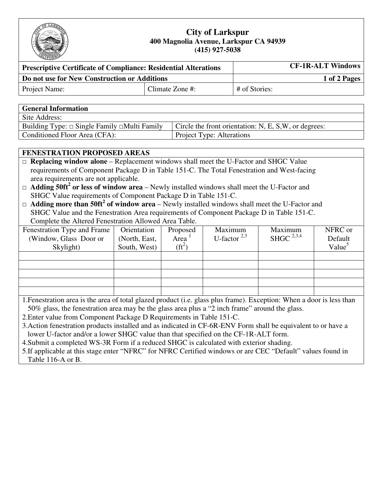

## **City of Larkspur 400 Magnolia Avenue, Larkspur CA 94939 (415) 927-5038**

| <b>Prescriptive Certificate of Compliance: Residential Alterations</b> | <b>CF-1R-ALT Windows</b> |               |  |  |
|------------------------------------------------------------------------|--------------------------|---------------|--|--|
| Do not use for New Construction or Additions                           |                          | 1 of 2 Pages  |  |  |
| Project Name:                                                          | Climate Zone #:          | # of Stories: |  |  |

| <b>General Information</b>                              |                                                       |
|---------------------------------------------------------|-------------------------------------------------------|
| Site Address:                                           |                                                       |
| Building Type: $\Box$ Single Family $\Box$ Multi Family | Circle the front orientation: N, E, S, W, or degrees: |
| Conditioned Floor Area (CFA):                           | Project Type: Alterations                             |

## **FENESTRATION PROPOSED AREAS**

□ **Replacing window alone** – Replacement windows shall meet the U-Factor and SHGC Value requirements of Component Package D in Table 151-C. The Total Fenestration and West-facing area requirements are not applicable.

□ **Adding 50ft<sup>2</sup> or less of window area** – Newly installed windows shall meet the U-Factor and SHGC Value requirements of Component Package D in Table 151-C.

□ **Adding more than 50ft<sup>2</sup> of window area** – Newly installed windows shall meet the U-Factor and SHGC Value and the Fenestration Area requirements of Component Package D in Table 151-C. Complete the Altered Fenestration Allowed Area Table.

| Fenestration Type and Frame<br>(Window, Glass Door or<br>Skylight) | Orientation<br>(North, East,<br>South, West) | Proposed<br>Area<br>$(f t^2)$ | Maximum<br>U-factor $^{2,3}$ | Maximum<br>SHGC $^{2,3,4}$ | NFRC or<br>Default<br>Value <sup>5</sup> |
|--------------------------------------------------------------------|----------------------------------------------|-------------------------------|------------------------------|----------------------------|------------------------------------------|
|                                                                    |                                              |                               |                              |                            |                                          |
|                                                                    |                                              |                               |                              |                            |                                          |
|                                                                    |                                              |                               |                              |                            |                                          |
|                                                                    |                                              |                               |                              |                            |                                          |
|                                                                    |                                              |                               |                              |                            |                                          |

1.Fenestration area is the area of total glazed product (i.e. glass plus frame). Exception: When a door is less than 50% glass, the fenestration area may be the glass area plus a "2 inch frame" around the glass.

2.Enter value from Component Package D Requirements in Table 151-C.

3.Action fenestration products installed and as indicated in CF-6R-ENV Form shall be equivalent to or have a lower U-factor and/or a lower SHGC value than that specified on the CF-1R-ALT form.

4.Submit a completed WS-3R Form if a reduced SHGC is calculated with exterior shading.

5.If applicable at this stage enter "NFRC" for NFRC Certified windows or are CEC "Default" values found in Table 116-A or B.